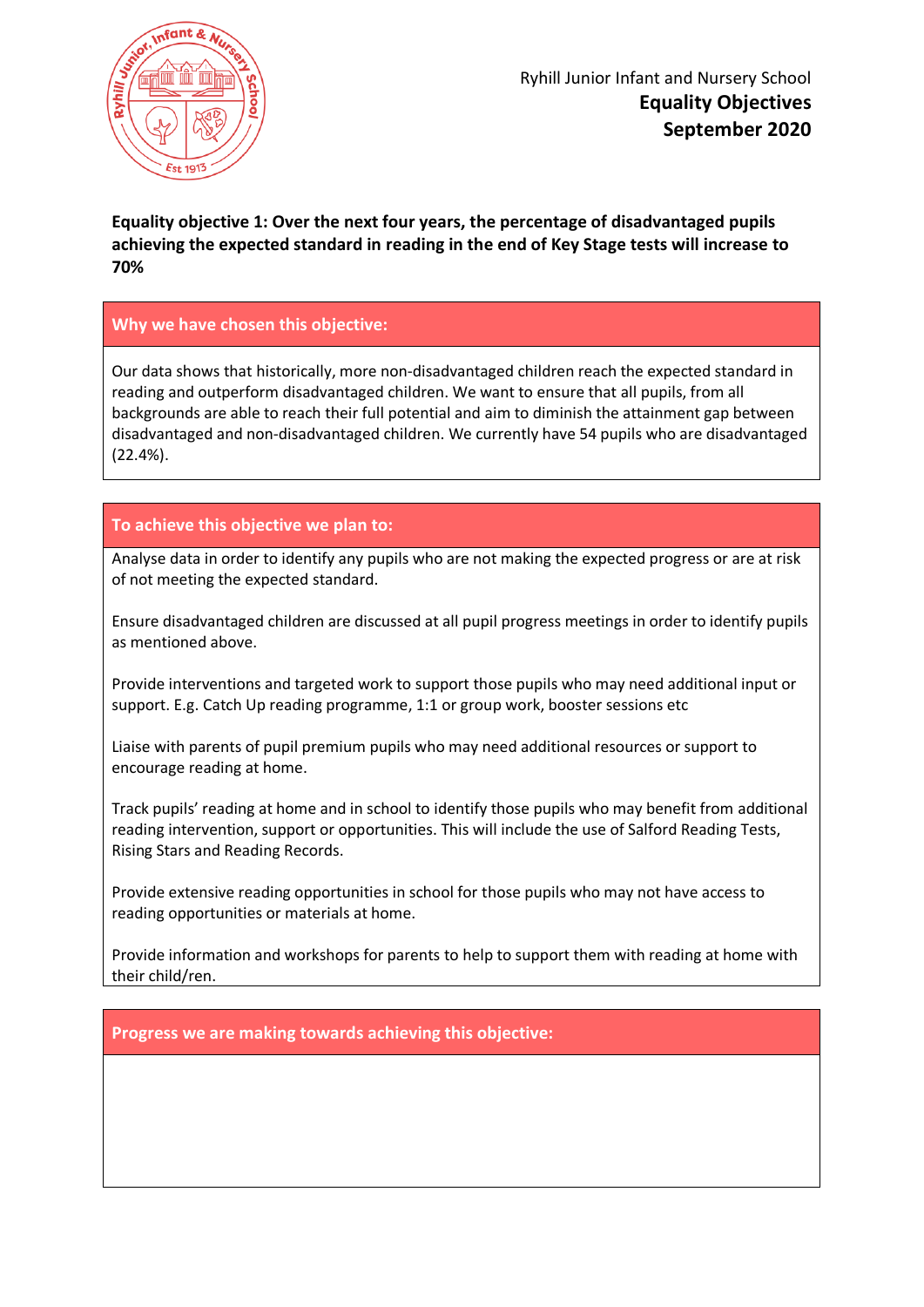

# **Equality objective 1: Over the next four years, the percentage of disadvantaged pupils achieving the expected standard in reading in the end of Key Stage tests will increase to 70%**

# **Why we have chosen this objective:**

Our data shows that historically, more non-disadvantaged children reach the expected standard in reading and outperform disadvantaged children. We want to ensure that all pupils, from all backgrounds are able to reach their full potential and aim to diminish the attainment gap between disadvantaged and non-disadvantaged children. We currently have 54 pupils who are disadvantaged (22.4%).

# **To achieve this objective we plan to:**

Analyse data in order to identify any pupils who are not making the expected progress or are at risk of not meeting the expected standard.

Ensure disadvantaged children are discussed at all pupil progress meetings in order to identify pupils as mentioned above.

Provide interventions and targeted work to support those pupils who may need additional input or support. E.g. Catch Up reading programme, 1:1 or group work, booster sessions etc

Liaise with parents of pupil premium pupils who may need additional resources or support to encourage reading at home.

Track pupils' reading at home and in school to identify those pupils who may benefit from additional reading intervention, support or opportunities. This will include the use of Salford Reading Tests, Rising Stars and Reading Records.

Provide extensive reading opportunities in school for those pupils who may not have access to reading opportunities or materials at home.

Provide information and workshops for parents to help to support them with reading at home with their child/ren.

**Progress we are making towards achieving this objective:**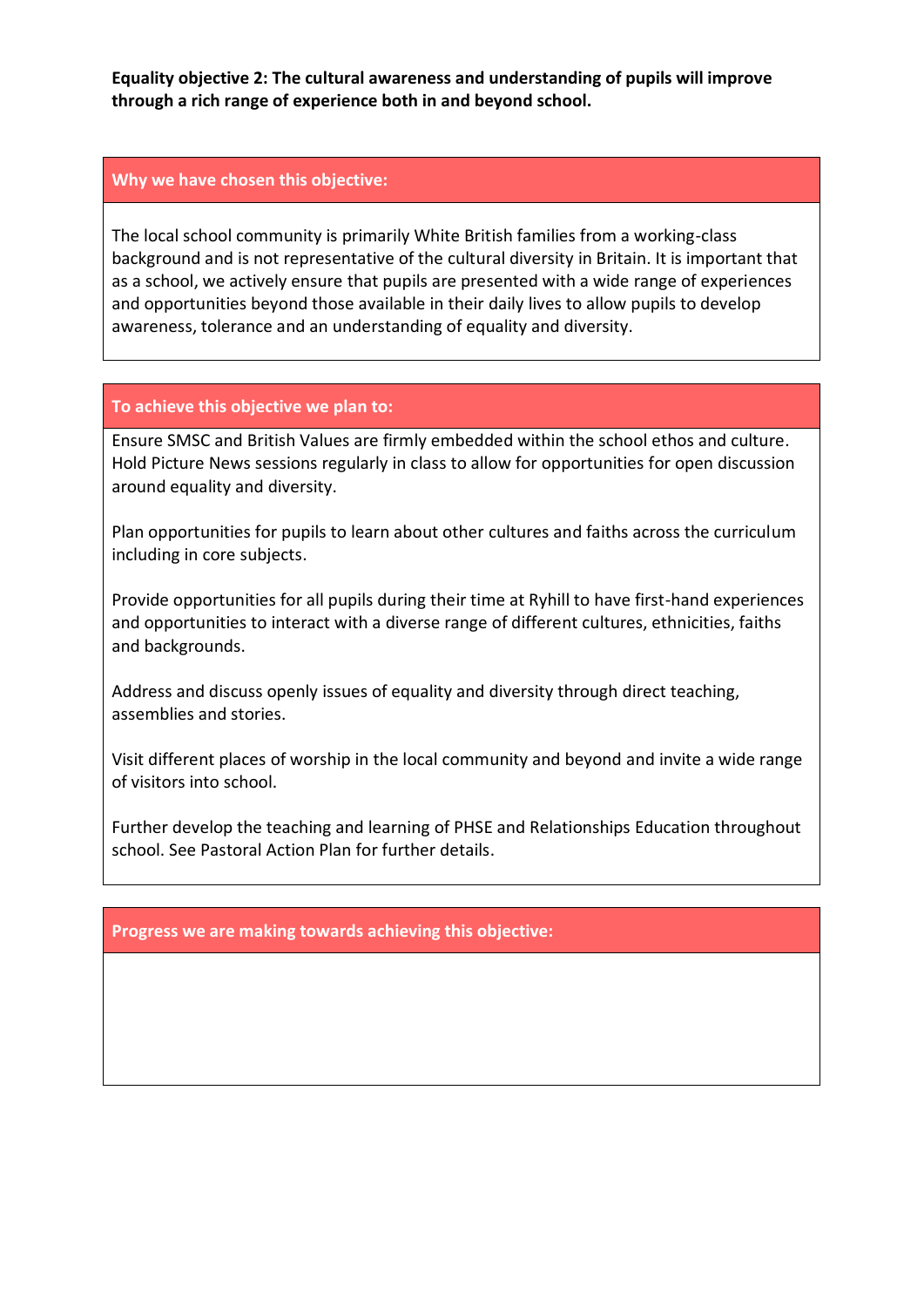**Equality objective 2: The cultural awareness and understanding of pupils will improve through a rich range of experience both in and beyond school.**

#### **Why we have chosen this objective:**

The local school community is primarily White British families from a working-class background and is not representative of the cultural diversity in Britain. It is important that as a school, we actively ensure that pupils are presented with a wide range of experiences and opportunities beyond those available in their daily lives to allow pupils to develop awareness, tolerance and an understanding of equality and diversity.

#### **To achieve this objective we plan to:**

Ensure SMSC and British Values are firmly embedded within the school ethos and culture. Hold Picture News sessions regularly in class to allow for opportunities for open discussion around equality and diversity.

Plan opportunities for pupils to learn about other cultures and faiths across the curriculum including in core subjects.

Provide opportunities for all pupils during their time at Ryhill to have first-hand experiences and opportunities to interact with a diverse range of different cultures, ethnicities, faiths and backgrounds.

Address and discuss openly issues of equality and diversity through direct teaching, assemblies and stories.

Visit different places of worship in the local community and beyond and invite a wide range of visitors into school.

Further develop the teaching and learning of PHSE and Relationships Education throughout school. See Pastoral Action Plan for further details.

#### **Progress we are making towards achieving this objective:**